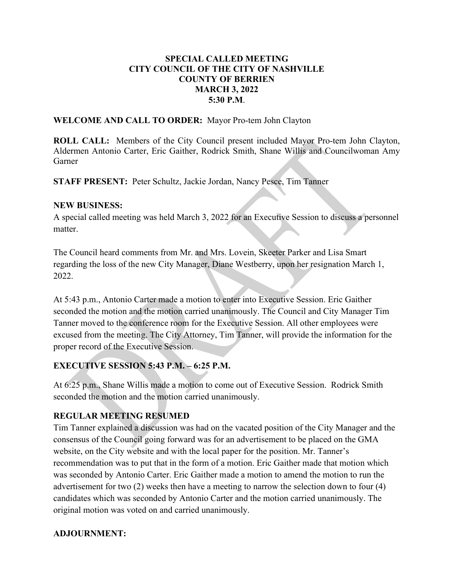### SPECIAL CALLED MEETING CITY COUNCIL OF THE CITY OF NASHVILLE COUNTY OF BERRIEN MARCH 3, 2022 5:30 P.M.

WELCOME AND CALL TO ORDER: Mayor Pro-tem John Clayton

ROLL CALL: Members of the City Council present included Mayor Pro-tem John Clayton, Aldermen Antonio Carter, Eric Gaither, Rodrick Smith, Shane Willis and Councilwoman Amy Garner

STAFF PRESENT: Peter Schultz, Jackie Jordan, Nancy Pesce, Tim Tanner

#### NEW BUSINESS:

A special called meeting was held March 3, 2022 for an Executive Session to discuss a personnel matter.

The Council heard comments from Mr. and Mrs. Lovein, Skeeter Parker and Lisa Smart regarding the loss of the new City Manager, Diane Westberry, upon her resignation March 1, 2022.

At 5:43 p.m., Antonio Carter made a motion to enter into Executive Session. Eric Gaither seconded the motion and the motion carried unanimously. The Council and City Manager Tim Tanner moved to the conference room for the Executive Session. All other employees were excused from the meeting. The City Attorney, Tim Tanner, will provide the information for the proper record of the Executive Session.

# EXECUTIVE SESSION 5:43 P.M. – 6:25 P.M.

At 6:25 p.m., Shane Willis made a motion to come out of Executive Session. Rodrick Smith seconded the motion and the motion carried unanimously.

## REGULAR MEETING RESUMED

Tim Tanner explained a discussion was had on the vacated position of the City Manager and the consensus of the Council going forward was for an advertisement to be placed on the GMA website, on the City website and with the local paper for the position. Mr. Tanner's recommendation was to put that in the form of a motion. Eric Gaither made that motion which was seconded by Antonio Carter. Eric Gaither made a motion to amend the motion to run the advertisement for two (2) weeks then have a meeting to narrow the selection down to four (4) candidates which was seconded by Antonio Carter and the motion carried unanimously. The original motion was voted on and carried unanimously.

## ADJOURNMENT: